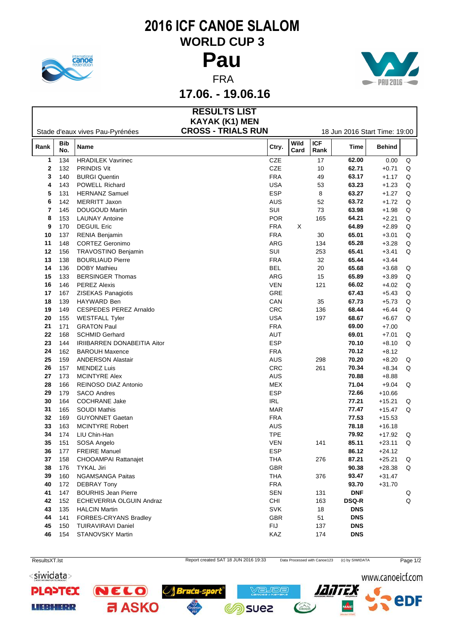

## **2016 ICF CANOE SLALOM WORLD CUP 3**



**17.06. - 19.06.16**

| <b>RESULTS LIST</b><br><b>KAYAK (K1) MEN</b>                                                  |                   |                               |  |            |              |                    |              |               |   |
|-----------------------------------------------------------------------------------------------|-------------------|-------------------------------|--|------------|--------------|--------------------|--------------|---------------|---|
| <b>CROSS - TRIALS RUN</b><br>Stade d'eaux vives Pau-Pyrénées<br>18 Jun 2016 Start Time: 19:00 |                   |                               |  |            |              |                    |              |               |   |
| Rank                                                                                          | <b>Bib</b><br>No. | Name                          |  | Ctry.      | Wild<br>Card | <b>ICF</b><br>Rank | Time         | <b>Behind</b> |   |
| 1                                                                                             | 134               | <b>HRADILEK Vavrinec</b>      |  | CZE        |              | 17                 | 62.00        | 0.00          | Q |
| 2                                                                                             | 132               | <b>PRINDIS Vit</b>            |  | CZE        |              | 10                 | 62.71        | $+0.71$       | Q |
| 3                                                                                             | 140               | <b>BURGI Quentin</b>          |  | <b>FRA</b> |              | 49                 | 63.17        | $+1.17$       | Q |
| 4                                                                                             | 143               | <b>POWELL Richard</b>         |  | <b>USA</b> |              | 53                 | 63.23        | $+1.23$       | Q |
| 5                                                                                             | 131               | <b>HERNANZ Samuel</b>         |  | <b>ESP</b> |              | 8                  | 63.27        | $+1.27$       | Q |
| 6                                                                                             | 142               | <b>MERRITT Jaxon</b>          |  | <b>AUS</b> |              | 52                 | 63.72        | $+1.72$       | Q |
| 7                                                                                             | 145               | <b>DOUGOUD Martin</b>         |  | SUI        |              | 73                 | 63.98        | $+1.98$       | Q |
| 8                                                                                             | 153               | <b>LAUNAY Antoine</b>         |  | <b>POR</b> |              | 165                | 64.21        | $+2.21$       | Q |
| 9                                                                                             | 170               | <b>DEGUIL Eric</b>            |  | <b>FRA</b> | X            |                    | 64.89        | $+2.89$       | Q |
| 10                                                                                            | 137               | <b>RENIA Benjamin</b>         |  | <b>FRA</b> |              | 30                 | 65.01        | $+3.01$       | Q |
| 11                                                                                            | 148               | CORTEZ Geronimo               |  | ARG        |              | 134                | 65.28        | $+3.28$       | Q |
| 12                                                                                            | 156               | TRAVOSTINO Benjamin           |  | SUI        |              | 253                | 65.41        | $+3.41$       | Q |
| 13                                                                                            | 138               | <b>BOURLIAUD Pierre</b>       |  | <b>FRA</b> |              | 32                 | 65.44        | $+3.44$       |   |
| 14                                                                                            | 136               | <b>DOBY Mathieu</b>           |  | <b>BEL</b> |              | 20                 | 65.68        | $+3.68$       | Q |
| 15                                                                                            | 133               | <b>BERSINGER Thomas</b>       |  | ARG        |              | 15                 | 65.89        | $+3.89$       | Q |
| 16                                                                                            | 146               | <b>PEREZ Alexis</b>           |  | <b>VEN</b> |              | 121                | 66.02        | $+4.02$       | Q |
| 17                                                                                            | 167               | ZISEKAS Panagiotis            |  | GRE        |              |                    | 67.43        | $+5.43$       | Q |
| 18                                                                                            | 139               | HAYWARD Ben                   |  | CAN        |              | 35                 | 67.73        | $+5.73$       | Q |
| 19                                                                                            | 149               | <b>CESPEDES PEREZ Arnaldo</b> |  | <b>CRC</b> |              | 136                | 68.44        | $+6.44$       | Q |
| 20                                                                                            | 155               | <b>WESTFALL Tyler</b>         |  | <b>USA</b> |              | 197                | 68.67        | $+6.67$       | Q |
| 21                                                                                            | 171               | <b>GRATON Paul</b>            |  | <b>FRA</b> |              |                    | 69.00        | $+7.00$       |   |
| 22                                                                                            | 168               | <b>SCHMID Gerhard</b>         |  | <b>AUT</b> |              |                    | 69.01        | $+7.01$       | Q |
| 23                                                                                            | 144               | IRIIBARREN DONABEITIA Aitor   |  | <b>ESP</b> |              |                    | 70.10        | $+8.10$       | Q |
| 24                                                                                            | 162               | <b>BAROUH Maxence</b>         |  | <b>FRA</b> |              |                    | 70.12        | $+8.12$       |   |
| 25                                                                                            | 159               | <b>ANDERSON Alastair</b>      |  | <b>AUS</b> |              | 298                | 70.20        | $+8.20$       | Q |
| 26                                                                                            | 157               | <b>MENDEZ Luis</b>            |  | CRC        |              | 261                | 70.34        | $+8.34$       | Q |
| 27                                                                                            | 173               | <b>MCINTYRE Alex</b>          |  | <b>AUS</b> |              |                    | 70.88        | $+8.88$       |   |
| 28                                                                                            | 166               | REINOSO DIAZ Antonio          |  | <b>MEX</b> |              |                    | 71.04        | $+9.04$       | Q |
| 29                                                                                            | 179               | <b>SACO Andres</b>            |  | <b>ESP</b> |              |                    | 72.66        | $+10.66$      |   |
| 30                                                                                            | 164               | <b>COCHRANE Jake</b>          |  | <b>IRL</b> |              |                    | 77.21        | $+15.21$      | Q |
| 31                                                                                            | 165               | <b>SOUDI Mathis</b>           |  | <b>MAR</b> |              |                    | 77.47        | $+15.47$      | Q |
| 32                                                                                            | 169               | <b>GUYONNET Gaetan</b>        |  | <b>FRA</b> |              |                    | 77.53        | $+15.53$      |   |
| 33                                                                                            | 163               | <b>MCINTYRE Robert</b>        |  | <b>AUS</b> |              |                    | 78.18        | $+16.18$      |   |
| 34                                                                                            | 174               | LIU Chin-Han                  |  | <b>TPE</b> |              |                    | 79.92        | $+17.92$      | Q |
| 35 <sup>5</sup>                                                                               | 151               | SOSA Angelo                   |  | <b>VEN</b> |              |                    | 85.11        | $+23.11$      | Q |
|                                                                                               |                   | <b>FREIRE Manuel</b>          |  | ESP        |              | 141                |              |               |   |
| 36                                                                                            | 177               |                               |  |            |              |                    | 86.12        | $+24.12$      |   |
| 37                                                                                            | 158               | CHOOAMPAI Rattanajet          |  | <b>THA</b> |              | 276                | 87.21        | $+25.21$      | Q |
| 38                                                                                            | 176               | TYKAL Jiri                    |  | <b>GBR</b> |              |                    | 90.38        | $+28.38$      | Q |
| 39                                                                                            | 160               | <b>NGAMSANGA Paitas</b>       |  | <b>THA</b> |              | 376                | 93.47        | $+31.47$      |   |
| 40                                                                                            | 172               | <b>DEBRAY Tony</b>            |  | <b>FRA</b> |              |                    | 93.70        | $+31.70$      |   |
| 41                                                                                            | 147               | <b>BOURHIS Jean Pierre</b>    |  | <b>SEN</b> |              | 131                | <b>DNF</b>   |               | Q |
| 42                                                                                            | 152               | ECHEVERRIA OLGUIN Andraz      |  | CHI        |              | 163                | <b>DSQ-R</b> |               | Q |
| 43                                                                                            | 135               | <b>HALCIN Martin</b>          |  | <b>SVK</b> |              | 18                 | <b>DNS</b>   |               |   |
| 44                                                                                            | 141               | FORBES-CRYANS Bradley         |  | GBR        |              | 51                 | <b>DNS</b>   |               |   |
| 45                                                                                            | 150               | <b>TUIRAVIRAVI Daniel</b>     |  | FIJ        |              | 137                | <b>DNS</b>   |               |   |
| 46                                                                                            | 154               | STANOVSKY Martin              |  | KAZ        |              | 174                | <b>DNS</b>   |               |   |